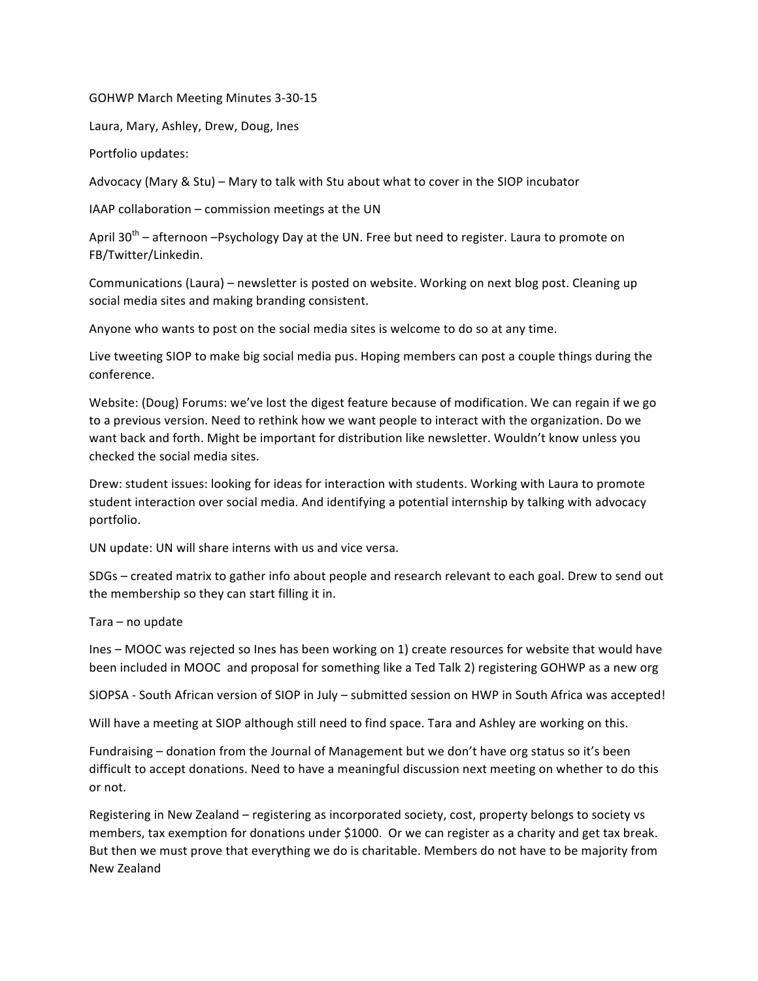GOHWP March Meeting Minutes 3-30-15

Laura, Mary, Ashley, Drew, Doug, Ines

Portfolio updates:

Advocacy (Mary & Stu) – Mary to talk with Stu about what to cover in the SIOP incubator

IAAP collaboration  $-$  commission meetings at the UN

April  $30^{th}$  – afternoon –Psychology Day at the UN. Free but need to register. Laura to promote on FB/Twitter/Linkedin. 

Communications (Laura) – newsletter is posted on website. Working on next blog post. Cleaning up social media sites and making branding consistent.

Anyone who wants to post on the social media sites is welcome to do so at any time.

Live tweeting SIOP to make big social media pus. Hoping members can post a couple things during the conference. 

Website: (Doug) Forums: we've lost the digest feature because of modification. We can regain if we go to a previous version. Need to rethink how we want people to interact with the organization. Do we want back and forth. Might be important for distribution like newsletter. Wouldn't know unless you checked the social media sites.

Drew: student issues: looking for ideas for interaction with students. Working with Laura to promote student interaction over social media. And identifying a potential internship by talking with advocacy portfolio.

UN update: UN will share interns with us and vice versa.

SDGs – created matrix to gather info about people and research relevant to each goal. Drew to send out the membership so they can start filling it in.

 $Tara - no$  update

Ines – MOOC was rejected so Ines has been working on 1) create resources for website that would have been included in MOOC and proposal for something like a Ted Talk 2) registering GOHWP as a new org

SIOPSA - South African version of SIOP in July - submitted session on HWP in South Africa was accepted!

Will have a meeting at SIOP although still need to find space. Tara and Ashley are working on this.

Fundraising – donation from the Journal of Management but we don't have org status so it's been difficult to accept donations. Need to have a meaningful discussion next meeting on whether to do this or not. 

Registering in New Zealand – registering as incorporated society, cost, property belongs to society vs members, tax exemption for donations under \$1000. Or we can register as a charity and get tax break. But then we must prove that everything we do is charitable. Members do not have to be majority from New Zealand